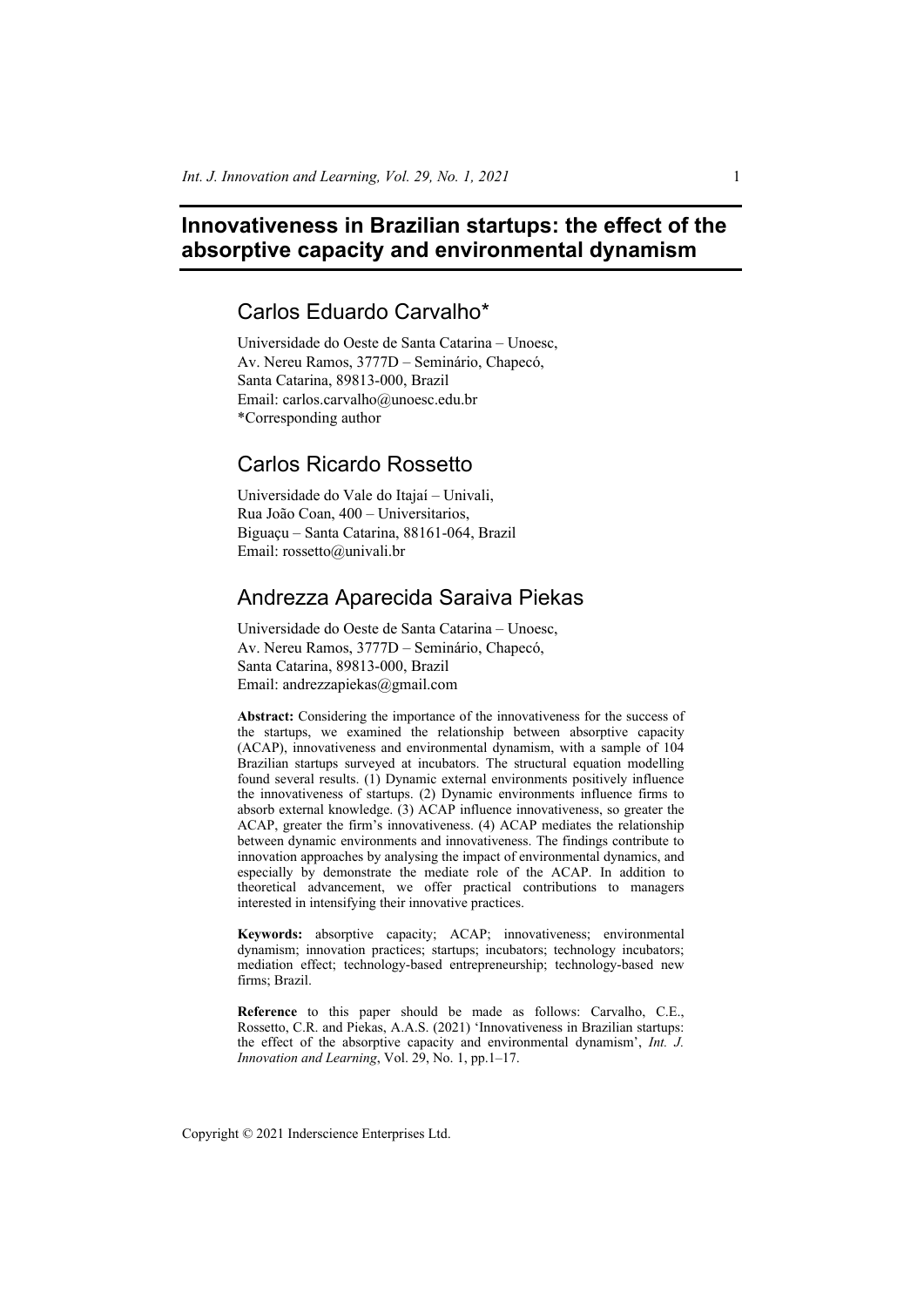# **Innovativeness in Brazilian startups: the effect of the absorptive capacity and environmental dynamism**

## Carlos Eduardo Carvalho\*

Universidade do Oeste de Santa Catarina – Unoesc, Av. Nereu Ramos, 3777D – Seminário, Chapecó, Santa Catarina, 89813-000, Brazil Email: carlos.carvalho@unoesc.edu.br \*Corresponding author

## Carlos Ricardo Rossetto

Universidade do Vale do Itajaí – Univali, Rua João Coan, 400 – Universitarios, Biguaçu – Santa Catarina, 88161-064, Brazil Email: rossetto@univali.br

## Andrezza Aparecida Saraiva Piekas

Universidade do Oeste de Santa Catarina – Unoesc, Av. Nereu Ramos, 3777D – Seminário, Chapecó, Santa Catarina, 89813-000, Brazil Email: andrezzapiekas@gmail.com

**Abstract:** Considering the importance of the innovativeness for the success of the startups, we examined the relationship between absorptive capacity (ACAP), innovativeness and environmental dynamism, with a sample of 104 Brazilian startups surveyed at incubators. The structural equation modelling found several results. (1) Dynamic external environments positively influence the innovativeness of startups. (2) Dynamic environments influence firms to absorb external knowledge. (3) ACAP influence innovativeness, so greater the ACAP, greater the firm's innovativeness. (4) ACAP mediates the relationship between dynamic environments and innovativeness. The findings contribute to innovation approaches by analysing the impact of environmental dynamics, and especially by demonstrate the mediate role of the ACAP. In addition to theoretical advancement, we offer practical contributions to managers interested in intensifying their innovative practices.

**Keywords:** absorptive capacity; ACAP; innovativeness; environmental dynamism; innovation practices; startups; incubators; technology incubators; mediation effect; technology-based entrepreneurship; technology-based new firms; Brazil.

**Reference** to this paper should be made as follows: Carvalho, C.E., Rossetto, C.R. and Piekas, A.A.S. (2021) 'Innovativeness in Brazilian startups: the effect of the absorptive capacity and environmental dynamism', *Int. J. Innovation and Learning*, Vol. 29, No. 1, pp.1–17.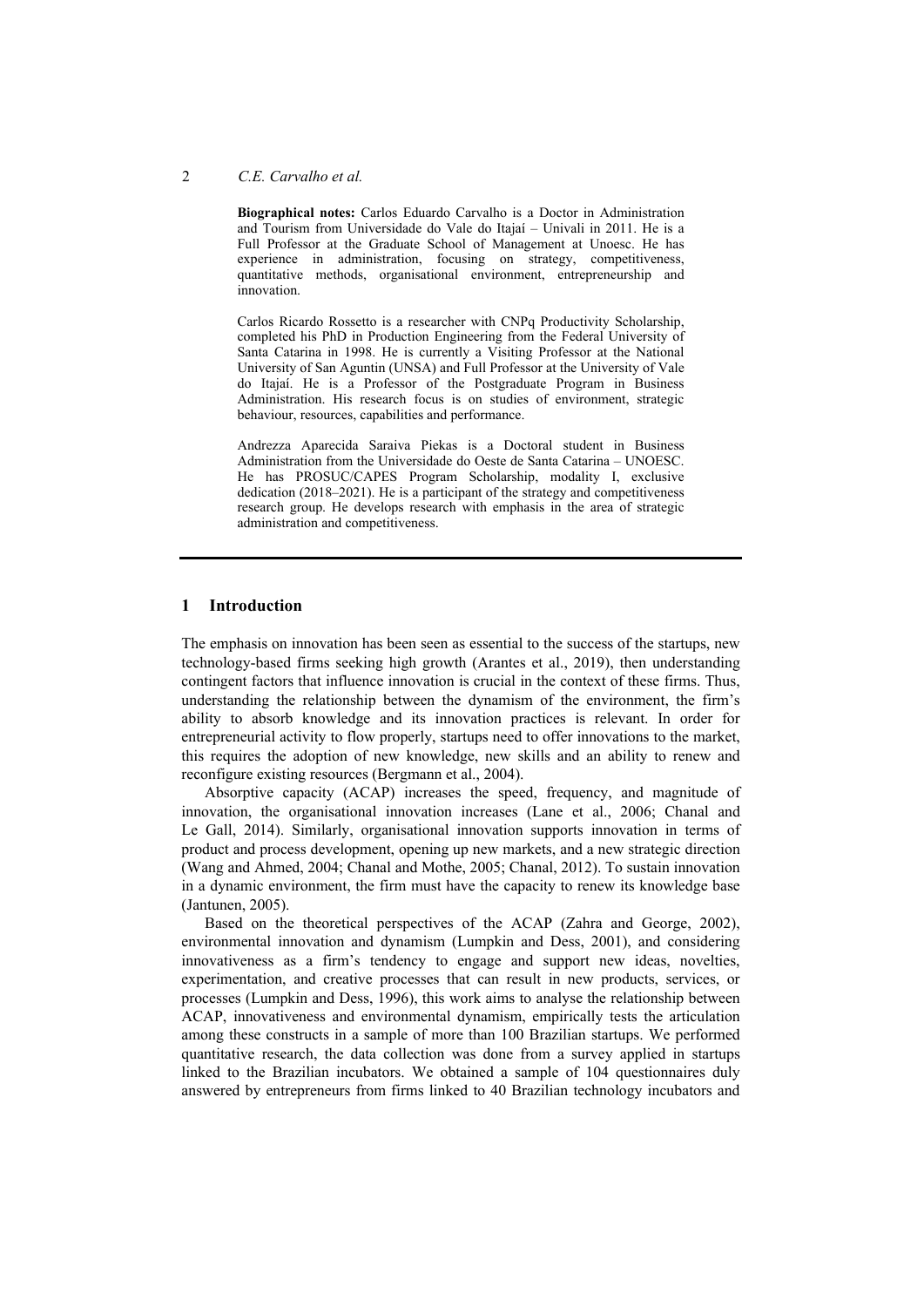#### 2 *C.E. Carvalho et al.*

**Biographical notes:** Carlos Eduardo Carvalho is a Doctor in Administration and Tourism from Universidade do Vale do Itajaí – Univali in 2011. He is a Full Professor at the Graduate School of Management at Unoesc. He has experience in administration, focusing on strategy, competitiveness, quantitative methods, organisational environment, entrepreneurship and innovation.

Carlos Ricardo Rossetto is a researcher with CNPq Productivity Scholarship, completed his PhD in Production Engineering from the Federal University of Santa Catarina in 1998. He is currently a Visiting Professor at the National University of San Aguntin (UNSA) and Full Professor at the University of Vale do Itajaí. He is a Professor of the Postgraduate Program in Business Administration. His research focus is on studies of environment, strategic behaviour, resources, capabilities and performance.

Andrezza Aparecida Saraiva Piekas is a Doctoral student in Business Administration from the Universidade do Oeste de Santa Catarina – UNOESC. He has PROSUC/CAPES Program Scholarship, modality I, exclusive dedication (2018–2021). He is a participant of the strategy and competitiveness research group. He develops research with emphasis in the area of strategic administration and competitiveness.

## **1 Introduction**

The emphasis on innovation has been seen as essential to the success of the startups, new technology-based firms seeking high growth (Arantes et al., 2019), then understanding contingent factors that influence innovation is crucial in the context of these firms. Thus, understanding the relationship between the dynamism of the environment, the firm's ability to absorb knowledge and its innovation practices is relevant. In order for entrepreneurial activity to flow properly, startups need to offer innovations to the market, this requires the adoption of new knowledge, new skills and an ability to renew and reconfigure existing resources (Bergmann et al., 2004).

Absorptive capacity (ACAP) increases the speed, frequency, and magnitude of innovation, the organisational innovation increases (Lane et al., 2006; Chanal and Le Gall, 2014). Similarly, organisational innovation supports innovation in terms of product and process development, opening up new markets, and a new strategic direction (Wang and Ahmed, 2004; Chanal and Mothe, 2005; Chanal, 2012). To sustain innovation in a dynamic environment, the firm must have the capacity to renew its knowledge base (Jantunen, 2005).

Based on the theoretical perspectives of the ACAP (Zahra and George, 2002), environmental innovation and dynamism (Lumpkin and Dess, 2001), and considering innovativeness as a firm's tendency to engage and support new ideas, novelties, experimentation, and creative processes that can result in new products, services, or processes (Lumpkin and Dess, 1996), this work aims to analyse the relationship between ACAP, innovativeness and environmental dynamism, empirically tests the articulation among these constructs in a sample of more than 100 Brazilian startups. We performed quantitative research, the data collection was done from a survey applied in startups linked to the Brazilian incubators. We obtained a sample of 104 questionnaires duly answered by entrepreneurs from firms linked to 40 Brazilian technology incubators and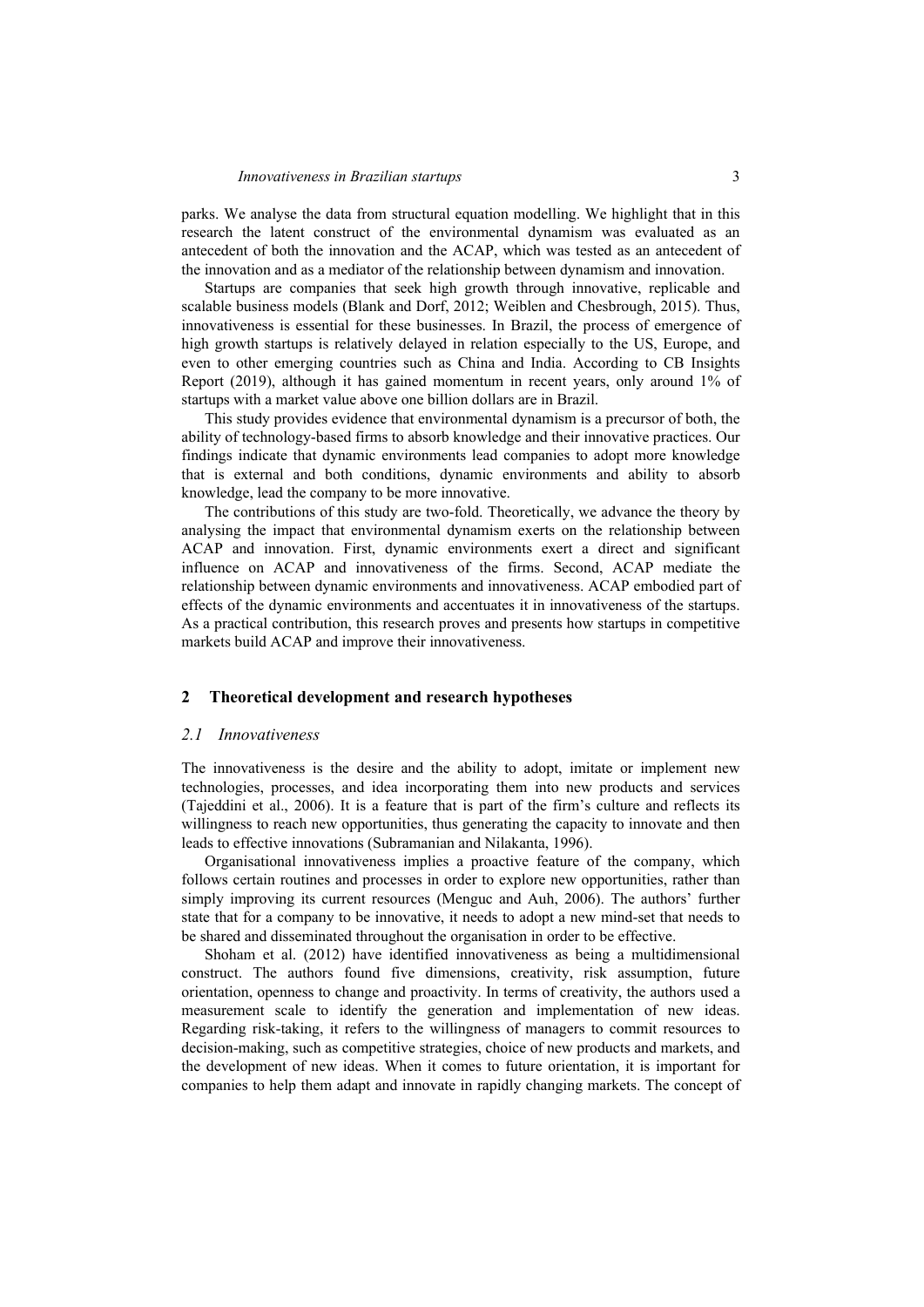parks. We analyse the data from structural equation modelling. We highlight that in this research the latent construct of the environmental dynamism was evaluated as an antecedent of both the innovation and the ACAP, which was tested as an antecedent of the innovation and as a mediator of the relationship between dynamism and innovation.

Startups are companies that seek high growth through innovative, replicable and scalable business models (Blank and Dorf, 2012; Weiblen and Chesbrough, 2015). Thus, innovativeness is essential for these businesses. In Brazil, the process of emergence of high growth startups is relatively delayed in relation especially to the US, Europe, and even to other emerging countries such as China and India. According to CB Insights Report (2019), although it has gained momentum in recent years, only around 1% of startups with a market value above one billion dollars are in Brazil.

This study provides evidence that environmental dynamism is a precursor of both, the ability of technology-based firms to absorb knowledge and their innovative practices. Our findings indicate that dynamic environments lead companies to adopt more knowledge that is external and both conditions, dynamic environments and ability to absorb knowledge, lead the company to be more innovative.

The contributions of this study are two-fold. Theoretically, we advance the theory by analysing the impact that environmental dynamism exerts on the relationship between ACAP and innovation. First, dynamic environments exert a direct and significant influence on ACAP and innovativeness of the firms. Second, ACAP mediate the relationship between dynamic environments and innovativeness. ACAP embodied part of effects of the dynamic environments and accentuates it in innovativeness of the startups. As a practical contribution, this research proves and presents how startups in competitive markets build ACAP and improve their innovativeness.

#### **2 Theoretical development and research hypotheses**

#### *2.1 Innovativeness*

The innovativeness is the desire and the ability to adopt, imitate or implement new technologies, processes, and idea incorporating them into new products and services (Tajeddini et al., 2006). It is a feature that is part of the firm's culture and reflects its willingness to reach new opportunities, thus generating the capacity to innovate and then leads to effective innovations (Subramanian and Nilakanta, 1996).

Organisational innovativeness implies a proactive feature of the company, which follows certain routines and processes in order to explore new opportunities, rather than simply improving its current resources (Menguc and Auh, 2006). The authors' further state that for a company to be innovative, it needs to adopt a new mind-set that needs to be shared and disseminated throughout the organisation in order to be effective.

Shoham et al. (2012) have identified innovativeness as being a multidimensional construct. The authors found five dimensions, creativity, risk assumption, future orientation, openness to change and proactivity. In terms of creativity, the authors used a measurement scale to identify the generation and implementation of new ideas. Regarding risk-taking, it refers to the willingness of managers to commit resources to decision-making, such as competitive strategies, choice of new products and markets, and the development of new ideas. When it comes to future orientation, it is important for companies to help them adapt and innovate in rapidly changing markets. The concept of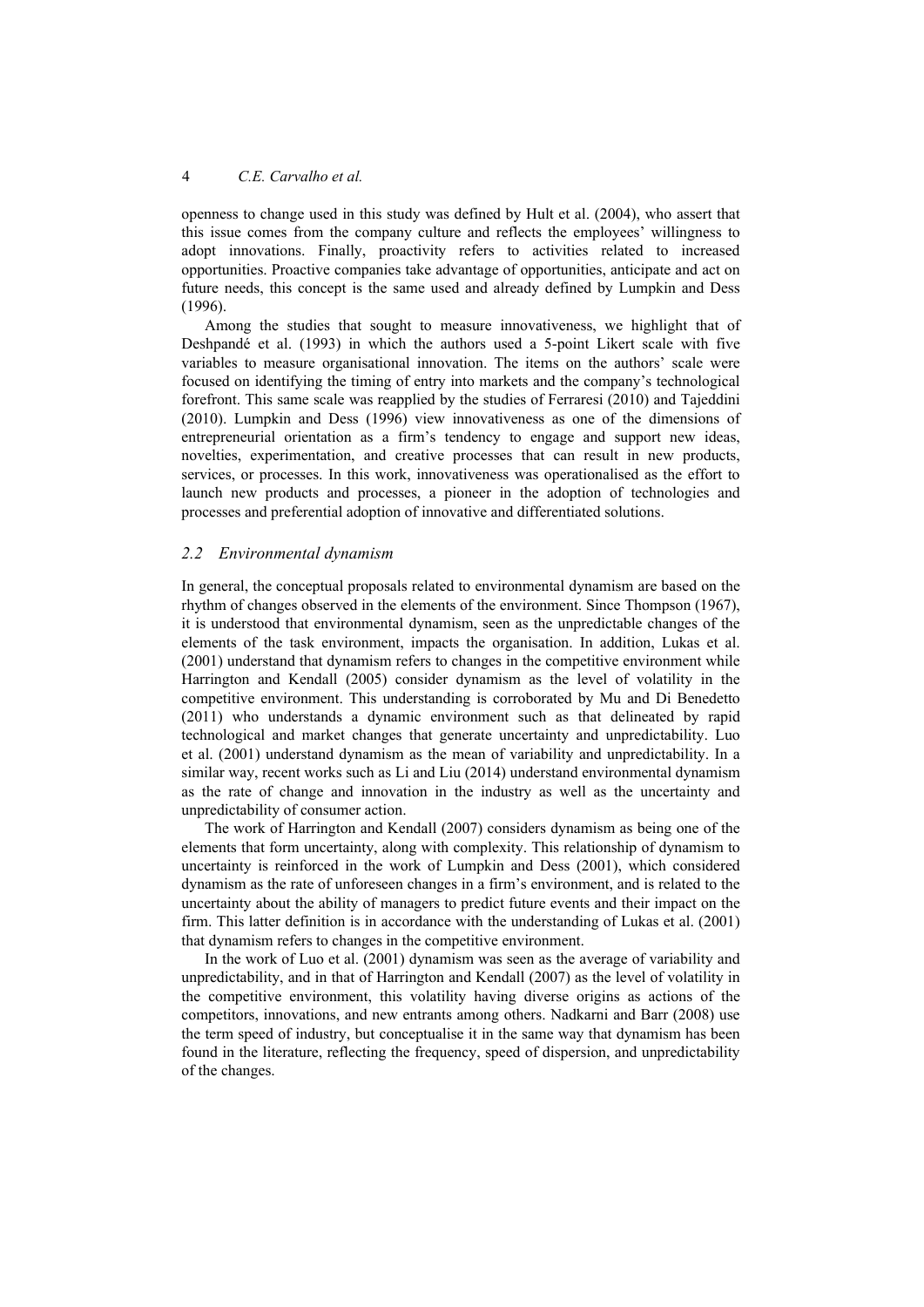openness to change used in this study was defined by Hult et al. (2004), who assert that this issue comes from the company culture and reflects the employees' willingness to adopt innovations. Finally, proactivity refers to activities related to increased opportunities. Proactive companies take advantage of opportunities, anticipate and act on future needs, this concept is the same used and already defined by Lumpkin and Dess (1996).

Among the studies that sought to measure innovativeness, we highlight that of Deshpandé et al. (1993) in which the authors used a 5-point Likert scale with five variables to measure organisational innovation. The items on the authors' scale were focused on identifying the timing of entry into markets and the company's technological forefront. This same scale was reapplied by the studies of Ferraresi (2010) and Tajeddini (2010). Lumpkin and Dess (1996) view innovativeness as one of the dimensions of entrepreneurial orientation as a firm's tendency to engage and support new ideas, novelties, experimentation, and creative processes that can result in new products, services, or processes. In this work, innovativeness was operationalised as the effort to launch new products and processes, a pioneer in the adoption of technologies and processes and preferential adoption of innovative and differentiated solutions.

## *2.2 Environmental dynamism*

In general, the conceptual proposals related to environmental dynamism are based on the rhythm of changes observed in the elements of the environment. Since Thompson (1967), it is understood that environmental dynamism, seen as the unpredictable changes of the elements of the task environment, impacts the organisation. In addition, Lukas et al. (2001) understand that dynamism refers to changes in the competitive environment while Harrington and Kendall (2005) consider dynamism as the level of volatility in the competitive environment. This understanding is corroborated by Mu and Di Benedetto (2011) who understands a dynamic environment such as that delineated by rapid technological and market changes that generate uncertainty and unpredictability. Luo et al. (2001) understand dynamism as the mean of variability and unpredictability. In a similar way, recent works such as Li and Liu (2014) understand environmental dynamism as the rate of change and innovation in the industry as well as the uncertainty and unpredictability of consumer action.

The work of Harrington and Kendall (2007) considers dynamism as being one of the elements that form uncertainty, along with complexity. This relationship of dynamism to uncertainty is reinforced in the work of Lumpkin and Dess (2001), which considered dynamism as the rate of unforeseen changes in a firm's environment, and is related to the uncertainty about the ability of managers to predict future events and their impact on the firm. This latter definition is in accordance with the understanding of Lukas et al. (2001) that dynamism refers to changes in the competitive environment.

In the work of Luo et al. (2001) dynamism was seen as the average of variability and unpredictability, and in that of Harrington and Kendall (2007) as the level of volatility in the competitive environment, this volatility having diverse origins as actions of the competitors, innovations, and new entrants among others. Nadkarni and Barr (2008) use the term speed of industry, but conceptualise it in the same way that dynamism has been found in the literature, reflecting the frequency, speed of dispersion, and unpredictability of the changes.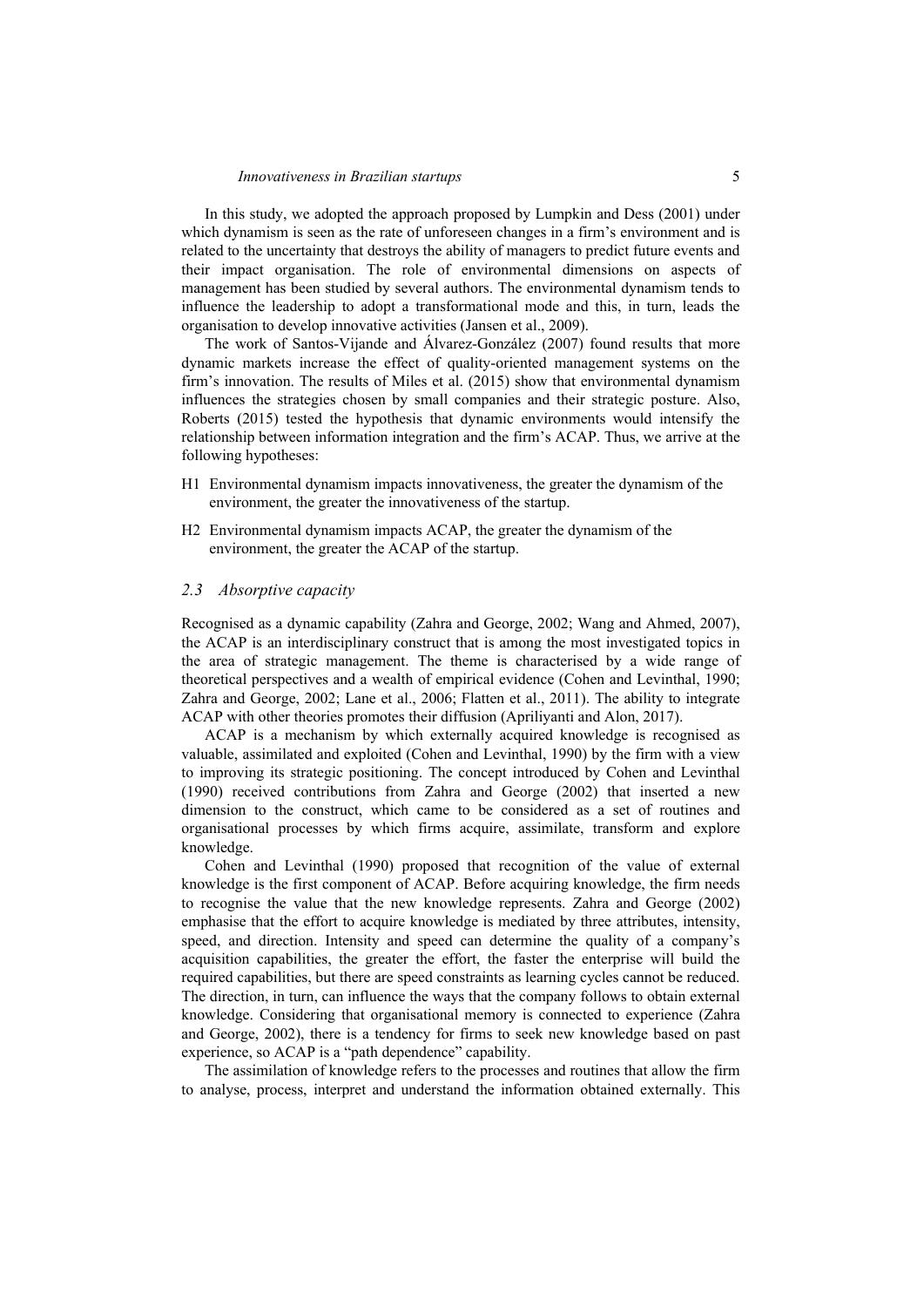In this study, we adopted the approach proposed by Lumpkin and Dess (2001) under which dynamism is seen as the rate of unforeseen changes in a firm's environment and is related to the uncertainty that destroys the ability of managers to predict future events and their impact organisation. The role of environmental dimensions on aspects of management has been studied by several authors. The environmental dynamism tends to influence the leadership to adopt a transformational mode and this, in turn, leads the organisation to develop innovative activities (Jansen et al., 2009).

The work of Santos-Vijande and Álvarez-González (2007) found results that more dynamic markets increase the effect of quality-oriented management systems on the firm's innovation. The results of Miles et al. (2015) show that environmental dynamism influences the strategies chosen by small companies and their strategic posture. Also, Roberts (2015) tested the hypothesis that dynamic environments would intensify the relationship between information integration and the firm's ACAP. Thus, we arrive at the following hypotheses:

- H1 Environmental dynamism impacts innovativeness, the greater the dynamism of the environment, the greater the innovativeness of the startup.
- H2 Environmental dynamism impacts ACAP, the greater the dynamism of the environment, the greater the ACAP of the startup.

#### *2.3 Absorptive capacity*

Recognised as a dynamic capability (Zahra and George, 2002; Wang and Ahmed, 2007), the ACAP is an interdisciplinary construct that is among the most investigated topics in the area of strategic management. The theme is characterised by a wide range of theoretical perspectives and a wealth of empirical evidence (Cohen and Levinthal, 1990; Zahra and George, 2002; Lane et al., 2006; Flatten et al., 2011). The ability to integrate ACAP with other theories promotes their diffusion (Apriliyanti and Alon, 2017).

ACAP is a mechanism by which externally acquired knowledge is recognised as valuable, assimilated and exploited (Cohen and Levinthal, 1990) by the firm with a view to improving its strategic positioning. The concept introduced by Cohen and Levinthal (1990) received contributions from Zahra and George (2002) that inserted a new dimension to the construct, which came to be considered as a set of routines and organisational processes by which firms acquire, assimilate, transform and explore knowledge.

Cohen and Levinthal (1990) proposed that recognition of the value of external knowledge is the first component of ACAP. Before acquiring knowledge, the firm needs to recognise the value that the new knowledge represents. Zahra and George (2002) emphasise that the effort to acquire knowledge is mediated by three attributes, intensity, speed, and direction. Intensity and speed can determine the quality of a company's acquisition capabilities, the greater the effort, the faster the enterprise will build the required capabilities, but there are speed constraints as learning cycles cannot be reduced. The direction, in turn, can influence the ways that the company follows to obtain external knowledge. Considering that organisational memory is connected to experience (Zahra and George, 2002), there is a tendency for firms to seek new knowledge based on past experience, so ACAP is a "path dependence" capability.

The assimilation of knowledge refers to the processes and routines that allow the firm to analyse, process, interpret and understand the information obtained externally. This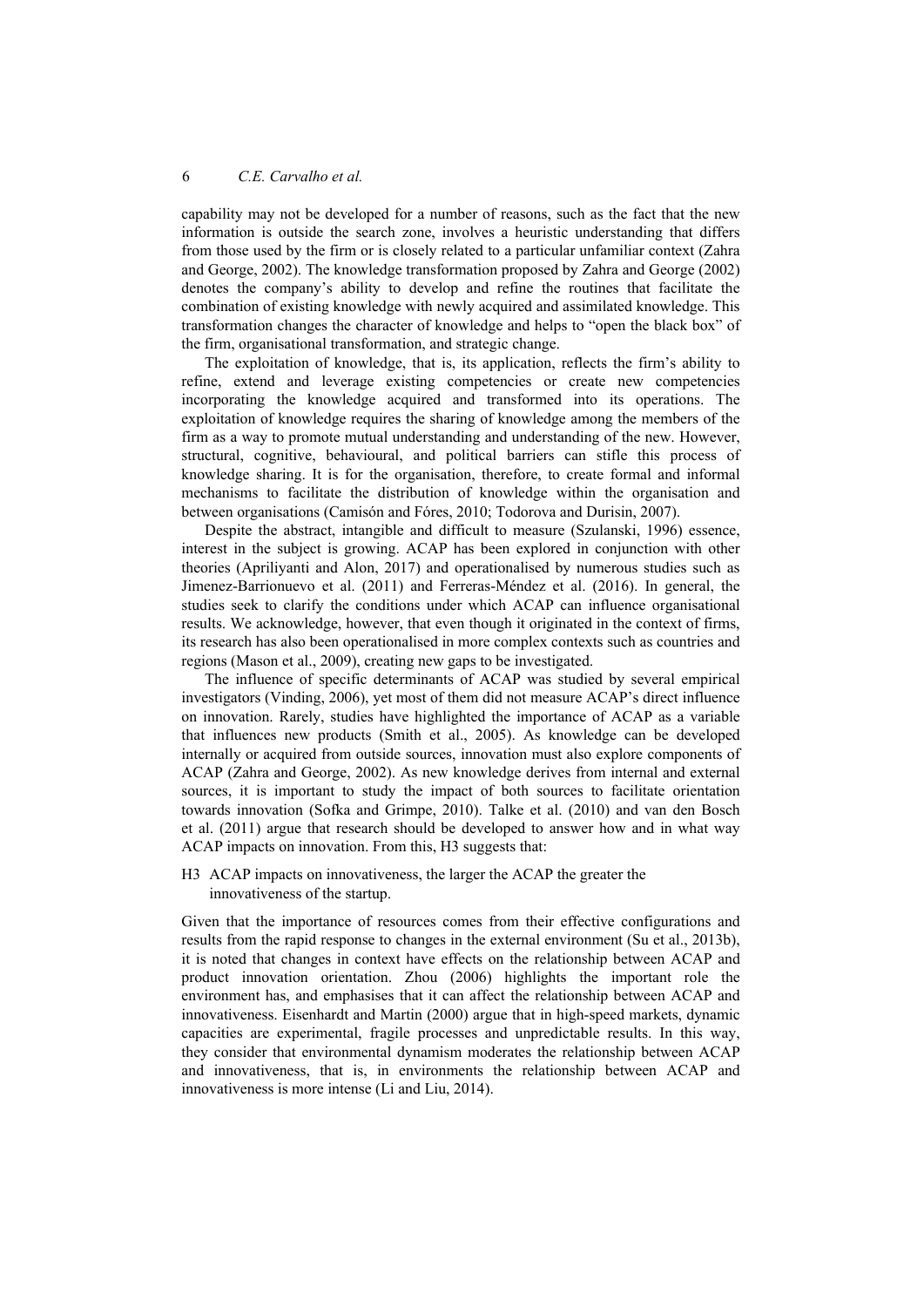capability may not be developed for a number of reasons, such as the fact that the new information is outside the search zone, involves a heuristic understanding that differs from those used by the firm or is closely related to a particular unfamiliar context (Zahra and George, 2002). The knowledge transformation proposed by Zahra and George (2002) denotes the company's ability to develop and refine the routines that facilitate the combination of existing knowledge with newly acquired and assimilated knowledge. This transformation changes the character of knowledge and helps to "open the black box" of the firm, organisational transformation, and strategic change.

The exploitation of knowledge, that is, its application, reflects the firm's ability to refine, extend and leverage existing competencies or create new competencies incorporating the knowledge acquired and transformed into its operations. The exploitation of knowledge requires the sharing of knowledge among the members of the firm as a way to promote mutual understanding and understanding of the new. However, structural, cognitive, behavioural, and political barriers can stifle this process of knowledge sharing. It is for the organisation, therefore, to create formal and informal mechanisms to facilitate the distribution of knowledge within the organisation and between organisations (Camisón and Fóres, 2010; Todorova and Durisin, 2007).

Despite the abstract, intangible and difficult to measure (Szulanski, 1996) essence, interest in the subject is growing. ACAP has been explored in conjunction with other theories (Apriliyanti and Alon, 2017) and operationalised by numerous studies such as Jimenez-Barrionuevo et al. (2011) and Ferreras-Méndez et al. (2016). In general, the studies seek to clarify the conditions under which ACAP can influence organisational results. We acknowledge, however, that even though it originated in the context of firms, its research has also been operationalised in more complex contexts such as countries and regions (Mason et al., 2009), creating new gaps to be investigated.

The influence of specific determinants of ACAP was studied by several empirical investigators (Vinding, 2006), yet most of them did not measure ACAP's direct influence on innovation. Rarely, studies have highlighted the importance of ACAP as a variable that influences new products (Smith et al., 2005). As knowledge can be developed internally or acquired from outside sources, innovation must also explore components of ACAP (Zahra and George, 2002). As new knowledge derives from internal and external sources, it is important to study the impact of both sources to facilitate orientation towards innovation (Sofka and Grimpe, 2010). Talke et al. (2010) and van den Bosch et al. (2011) argue that research should be developed to answer how and in what way ACAP impacts on innovation. From this, H3 suggests that:

H3 ACAP impacts on innovativeness, the larger the ACAP the greater the innovativeness of the startup.

Given that the importance of resources comes from their effective configurations and results from the rapid response to changes in the external environment (Su et al., 2013b), it is noted that changes in context have effects on the relationship between ACAP and product innovation orientation. Zhou (2006) highlights the important role the environment has, and emphasises that it can affect the relationship between ACAP and innovativeness. Eisenhardt and Martin (2000) argue that in high-speed markets, dynamic capacities are experimental, fragile processes and unpredictable results. In this way, they consider that environmental dynamism moderates the relationship between ACAP and innovativeness, that is, in environments the relationship between ACAP and innovativeness is more intense (Li and Liu, 2014).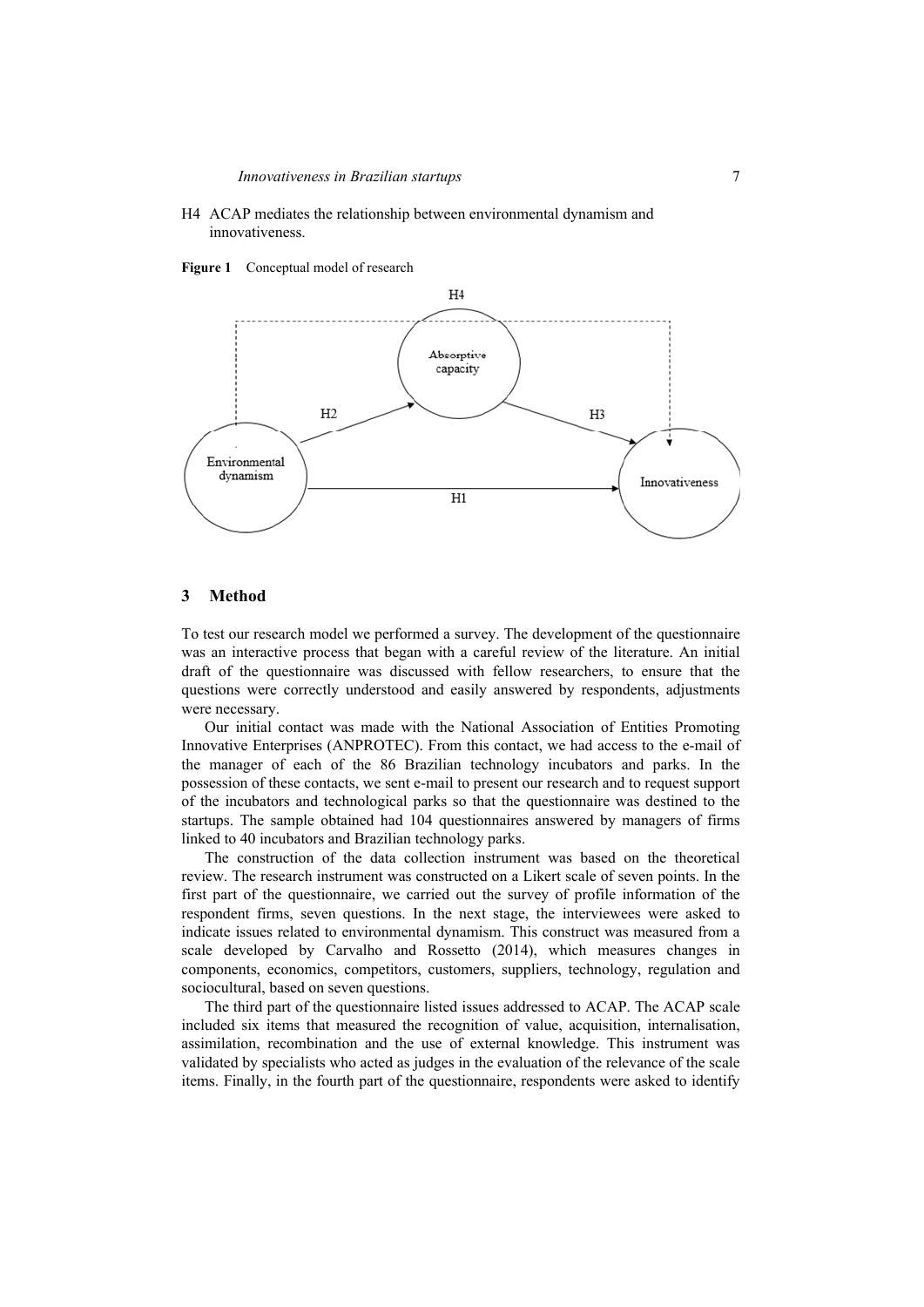- H4 ACAP mediates the relationship between environmental dynamism and innovativeness.
- **Figure 1** Conceptual model of research



#### **3 Method**

To test our research model we performed a survey. The development of the questionnaire was an interactive process that began with a careful review of the literature. An initial draft of the questionnaire was discussed with fellow researchers, to ensure that the questions were correctly understood and easily answered by respondents, adjustments were necessary.

Our initial contact was made with the National Association of Entities Promoting Innovative Enterprises (ANPROTEC). From this contact, we had access to the e-mail of the manager of each of the 86 Brazilian technology incubators and parks. In the possession of these contacts, we sent e-mail to present our research and to request support of the incubators and technological parks so that the questionnaire was destined to the startups. The sample obtained had 104 questionnaires answered by managers of firms linked to 40 incubators and Brazilian technology parks.

The construction of the data collection instrument was based on the theoretical review. The research instrument was constructed on a Likert scale of seven points. In the first part of the questionnaire, we carried out the survey of profile information of the respondent firms, seven questions. In the next stage, the interviewees were asked to indicate issues related to environmental dynamism. This construct was measured from a scale developed by Carvalho and Rossetto (2014), which measures changes in components, economics, competitors, customers, suppliers, technology, regulation and sociocultural, based on seven questions.

The third part of the questionnaire listed issues addressed to ACAP. The ACAP scale included six items that measured the recognition of value, acquisition, internalisation, assimilation, recombination and the use of external knowledge. This instrument was validated by specialists who acted as judges in the evaluation of the relevance of the scale items. Finally, in the fourth part of the questionnaire, respondents were asked to identify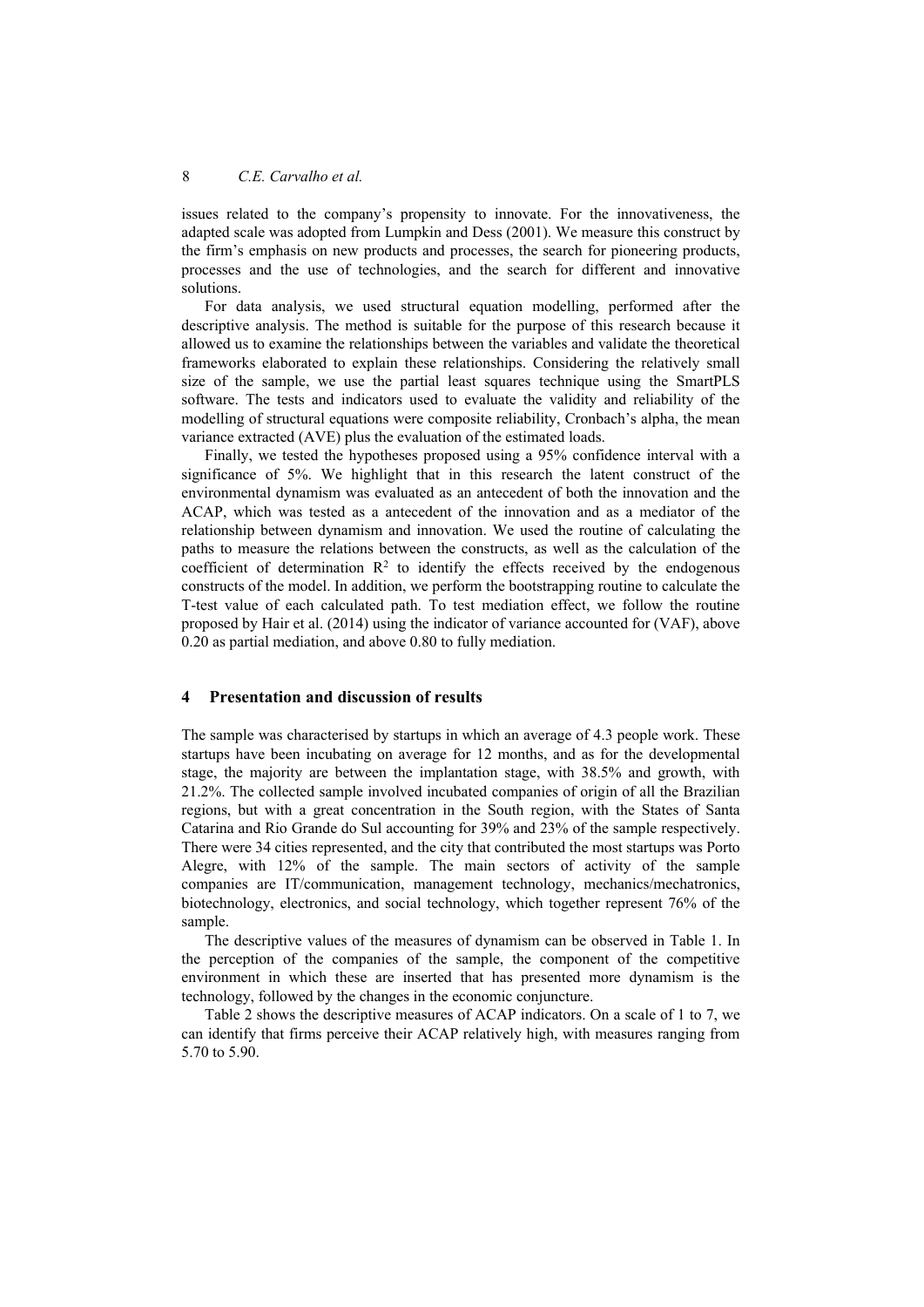issues related to the company's propensity to innovate. For the innovativeness, the adapted scale was adopted from Lumpkin and Dess (2001). We measure this construct by the firm's emphasis on new products and processes, the search for pioneering products, processes and the use of technologies, and the search for different and innovative solutions.

For data analysis, we used structural equation modelling, performed after the descriptive analysis. The method is suitable for the purpose of this research because it allowed us to examine the relationships between the variables and validate the theoretical frameworks elaborated to explain these relationships. Considering the relatively small size of the sample, we use the partial least squares technique using the SmartPLS software. The tests and indicators used to evaluate the validity and reliability of the modelling of structural equations were composite reliability, Cronbach's alpha, the mean variance extracted (AVE) plus the evaluation of the estimated loads.

Finally, we tested the hypotheses proposed using a 95% confidence interval with a significance of 5%. We highlight that in this research the latent construct of the environmental dynamism was evaluated as an antecedent of both the innovation and the ACAP, which was tested as a antecedent of the innovation and as a mediator of the relationship between dynamism and innovation. We used the routine of calculating the paths to measure the relations between the constructs, as well as the calculation of the coefficient of determination  $\mathbb{R}^2$  to identify the effects received by the endogenous constructs of the model. In addition, we perform the bootstrapping routine to calculate the T-test value of each calculated path. To test mediation effect, we follow the routine proposed by Hair et al. (2014) using the indicator of variance accounted for (VAF), above 0.20 as partial mediation, and above 0.80 to fully mediation.

### **4 Presentation and discussion of results**

The sample was characterised by startups in which an average of 4.3 people work. These startups have been incubating on average for 12 months, and as for the developmental stage, the majority are between the implantation stage, with 38.5% and growth, with 21.2%. The collected sample involved incubated companies of origin of all the Brazilian regions, but with a great concentration in the South region, with the States of Santa Catarina and Rio Grande do Sul accounting for 39% and 23% of the sample respectively. There were 34 cities represented, and the city that contributed the most startups was Porto Alegre, with 12% of the sample. The main sectors of activity of the sample companies are IT/communication, management technology, mechanics/mechatronics, biotechnology, electronics, and social technology, which together represent 76% of the sample.

The descriptive values of the measures of dynamism can be observed in Table 1. In the perception of the companies of the sample, the component of the competitive environment in which these are inserted that has presented more dynamism is the technology, followed by the changes in the economic conjuncture.

Table 2 shows the descriptive measures of ACAP indicators. On a scale of 1 to 7, we can identify that firms perceive their ACAP relatively high, with measures ranging from 5.70 to 5.90.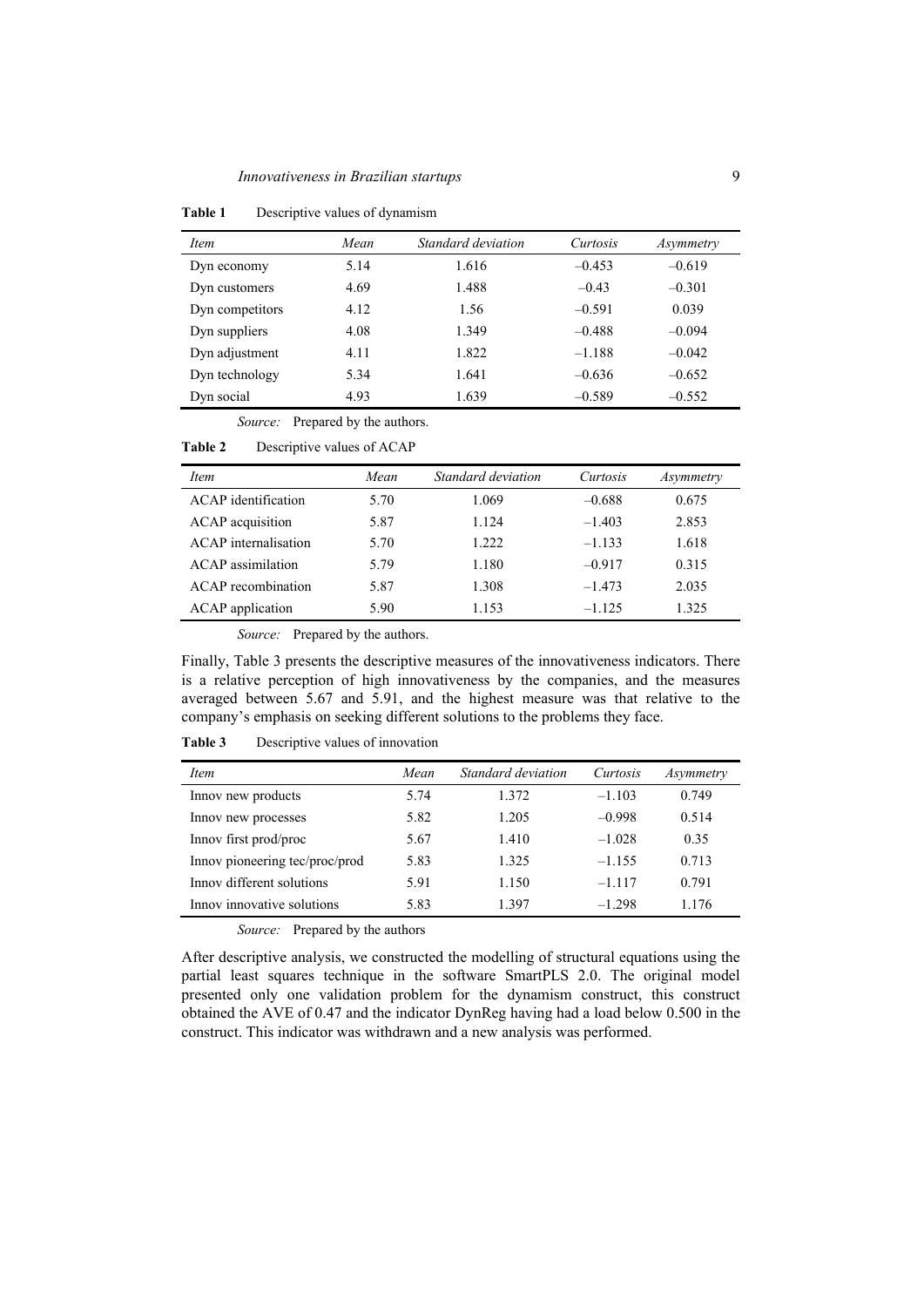| <i>Item</i>     | Mean | Standard deviation | Curtosis | Asymmetry |
|-----------------|------|--------------------|----------|-----------|
| Dyn economy     | 5.14 | 1.616              | $-0.453$ | $-0.619$  |
| Dyn customers   | 4.69 | 1.488              | $-0.43$  | $-0.301$  |
| Dyn competitors | 4.12 | 1.56               | $-0.591$ | 0.039     |
| Dyn suppliers   | 4.08 | 1.349              | $-0.488$ | $-0.094$  |
| Dyn adjustment  | 4.11 | 1.822              | $-1.188$ | $-0.042$  |
| Dyn technology  | 5.34 | 1.641              | $-0.636$ | $-0.652$  |
| Dyn social      | 4.93 | 1.639              | $-0.589$ | $-0.552$  |

**Table 1** Descriptive values of dynamism

*Source:* Prepared by the authors.

| <b>Table 2</b> |  | Descriptive values of ACAP |  |
|----------------|--|----------------------------|--|
|----------------|--|----------------------------|--|

| <i>Item</i>              | Mean | Standard deviation | Curtosis | Asymmetry |
|--------------------------|------|--------------------|----------|-----------|
| ACAP identification      | 5.70 | 1.069              | $-0.688$ | 0.675     |
| ACAP acquisition         | 5.87 | 1.124              | $-1.403$ | 2.853     |
| ACAP internalisation     | 5.70 | 1.222              | $-1.133$ | 1.618     |
| <b>ACAP</b> assimilation | 5.79 | 1.180              | $-0.917$ | 0.315     |
| ACAP recombination       | 5.87 | 1.308              | $-1.473$ | 2.035     |
| <b>ACAP</b> application  | 5.90 | 1.153              | $-1.125$ | 1.325     |

*Source:* Prepared by the authors.

Finally, Table 3 presents the descriptive measures of the innovativeness indicators. There is a relative perception of high innovativeness by the companies, and the measures averaged between 5.67 and 5.91, and the highest measure was that relative to the company's emphasis on seeking different solutions to the problems they face.

**Table 3** Descriptive values of innovation

| <i>Item</i>                    | Mean | Standard deviation | Curtosis | Asymmetry |
|--------------------------------|------|--------------------|----------|-----------|
| Innov new products             | 5.74 | 1.372              | $-1.103$ | 0.749     |
| Innov new processes            | 5.82 | 1.205              | $-0.998$ | 0.514     |
| Innov first prod/proc          | 5.67 | 1.410              | $-1.028$ | 0.35      |
| Innov pioneering tec/proc/prod | 5.83 | 1.325              | $-1.155$ | 0.713     |
| Innov different solutions      | 5.91 | 1.150              | $-1.117$ | 0.791     |
| Innov innovative solutions     | 5.83 | 1.397              | $-1.298$ | 1.176     |

*Source:* Prepared by the authors

After descriptive analysis, we constructed the modelling of structural equations using the partial least squares technique in the software SmartPLS 2.0. The original model presented only one validation problem for the dynamism construct, this construct obtained the AVE of 0.47 and the indicator DynReg having had a load below 0.500 in the construct. This indicator was withdrawn and a new analysis was performed.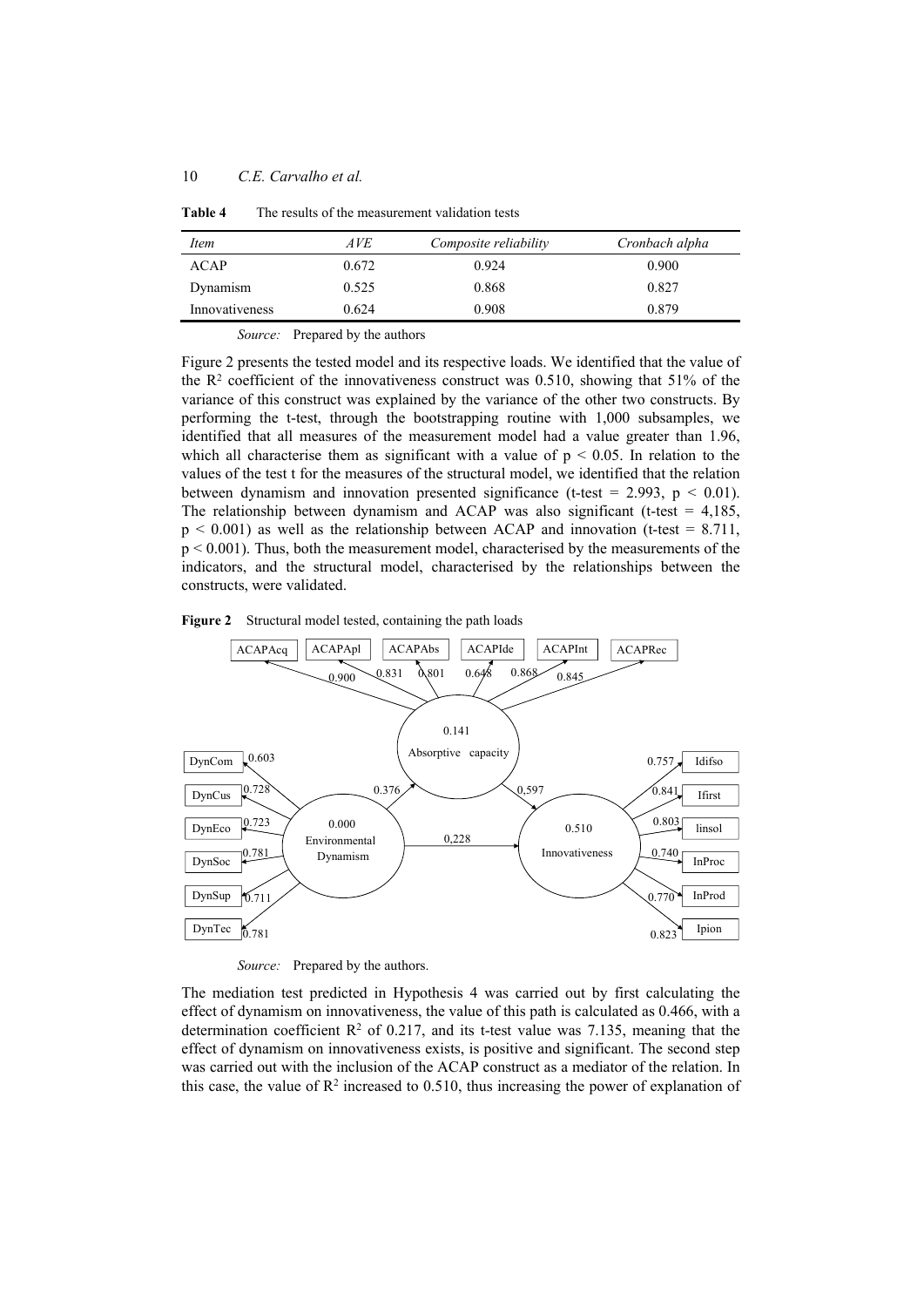| Item           | AVE   | Composite reliability | Cronbach alpha |
|----------------|-------|-----------------------|----------------|
| ACAP           | 0.672 | 0.924                 | 0.900          |
| Dynamism       | 0.525 | 0.868                 | 0.827          |
| Innovativeness | 0.624 | 0.908                 | 0.879          |

**Table 4** The results of the measurement validation tests

*Source:* Prepared by the authors

Figure 2 presents the tested model and its respective loads. We identified that the value of the  $\mathbb{R}^2$  coefficient of the innovativeness construct was 0.510, showing that 51% of the variance of this construct was explained by the variance of the other two constructs. By performing the t-test, through the bootstrapping routine with 1,000 subsamples, we identified that all measures of the measurement model had a value greater than 1.96, which all characterise them as significant with a value of  $p < 0.05$ . In relation to the values of the test t for the measures of the structural model, we identified that the relation between dynamism and innovation presented significance (t-test = 2.993,  $p < 0.01$ ). The relationship between dynamism and ACAP was also significant (t-test  $= 4,185$ ,  $p < 0.001$ ) as well as the relationship between ACAP and innovation (t-test = 8.711, p < 0.001). Thus, both the measurement model, characterised by the measurements of the indicators, and the structural model, characterised by the relationships between the constructs, were validated.





*Source:* Prepared by the authors.

The mediation test predicted in Hypothesis 4 was carried out by first calculating the effect of dynamism on innovativeness, the value of this path is calculated as 0.466, with a determination coefficient  $\mathbb{R}^2$  of 0.217, and its t-test value was 7.135, meaning that the effect of dynamism on innovativeness exists, is positive and significant. The second step was carried out with the inclusion of the ACAP construct as a mediator of the relation. In this case, the value of  $\mathbb{R}^2$  increased to 0.510, thus increasing the power of explanation of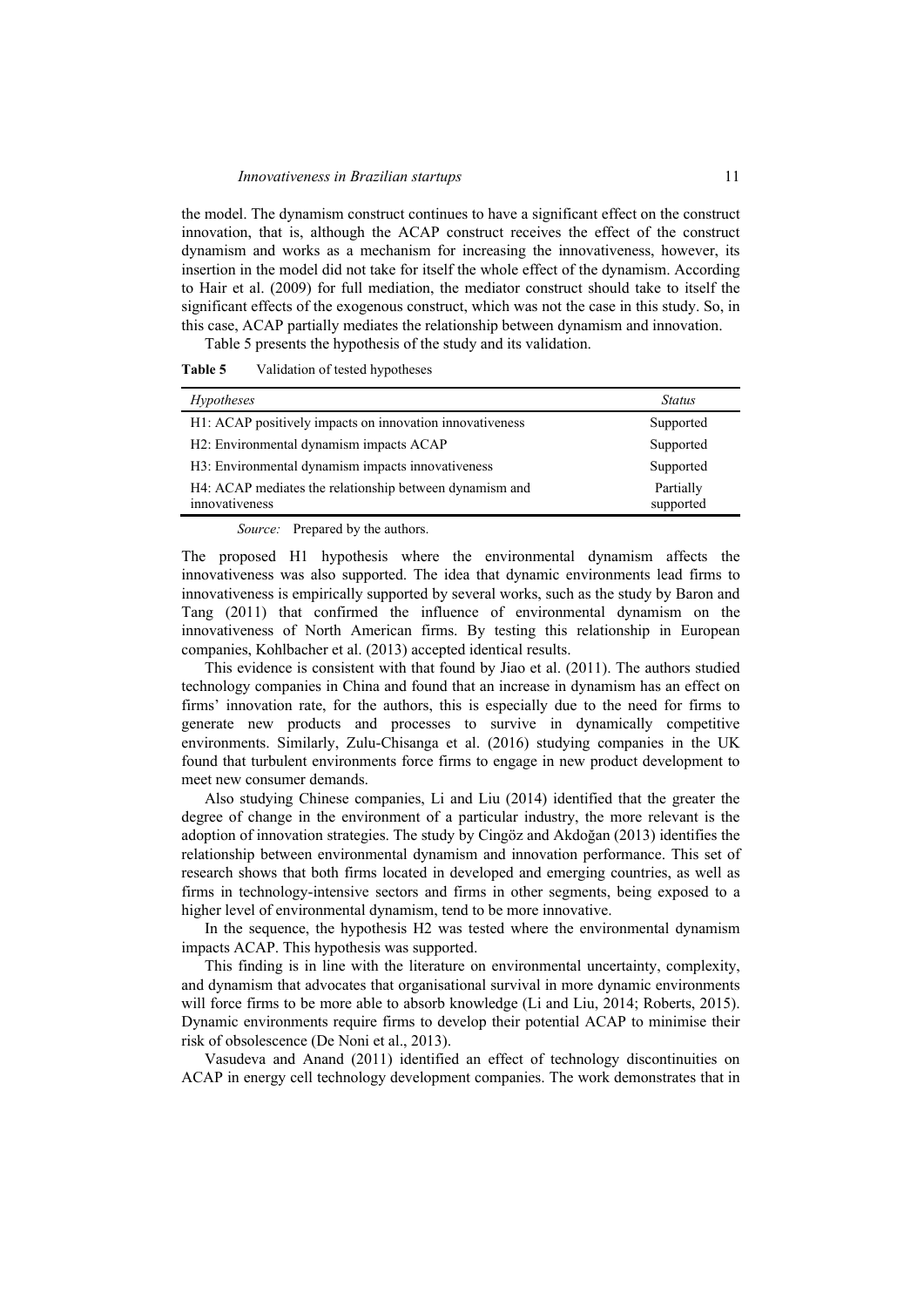the model. The dynamism construct continues to have a significant effect on the construct innovation, that is, although the ACAP construct receives the effect of the construct dynamism and works as a mechanism for increasing the innovativeness, however, its insertion in the model did not take for itself the whole effect of the dynamism. According to Hair et al. (2009) for full mediation, the mediator construct should take to itself the significant effects of the exogenous construct, which was not the case in this study. So, in this case, ACAP partially mediates the relationship between dynamism and innovation.

Table 5 presents the hypothesis of the study and its validation.

| <i>Hypotheses</i>                                                         | <b>Status</b>          |
|---------------------------------------------------------------------------|------------------------|
| H1: ACAP positively impacts on innovation innovativeness                  | Supported              |
| H2: Environmental dynamism impacts ACAP                                   | Supported              |
| H3: Environmental dynamism impacts innovativeness                         | Supported              |
| H4: ACAP mediates the relationship between dynamism and<br>innovativeness | Partially<br>supported |

*Source:* Prepared by the authors.

The proposed H1 hypothesis where the environmental dynamism affects the innovativeness was also supported. The idea that dynamic environments lead firms to innovativeness is empirically supported by several works, such as the study by Baron and Tang (2011) that confirmed the influence of environmental dynamism on the innovativeness of North American firms. By testing this relationship in European companies, Kohlbacher et al. (2013) accepted identical results.

This evidence is consistent with that found by Jiao et al. (2011). The authors studied technology companies in China and found that an increase in dynamism has an effect on firms' innovation rate, for the authors, this is especially due to the need for firms to generate new products and processes to survive in dynamically competitive environments. Similarly, Zulu-Chisanga et al. (2016) studying companies in the UK found that turbulent environments force firms to engage in new product development to meet new consumer demands.

Also studying Chinese companies, Li and Liu (2014) identified that the greater the degree of change in the environment of a particular industry, the more relevant is the adoption of innovation strategies. The study by Cingöz and Akdoğan (2013) identifies the relationship between environmental dynamism and innovation performance. This set of research shows that both firms located in developed and emerging countries, as well as firms in technology-intensive sectors and firms in other segments, being exposed to a higher level of environmental dynamism, tend to be more innovative.

In the sequence, the hypothesis H2 was tested where the environmental dynamism impacts ACAP. This hypothesis was supported.

This finding is in line with the literature on environmental uncertainty, complexity, and dynamism that advocates that organisational survival in more dynamic environments will force firms to be more able to absorb knowledge (Li and Liu, 2014; Roberts, 2015). Dynamic environments require firms to develop their potential ACAP to minimise their risk of obsolescence (De Noni et al., 2013).

Vasudeva and Anand (2011) identified an effect of technology discontinuities on ACAP in energy cell technology development companies. The work demonstrates that in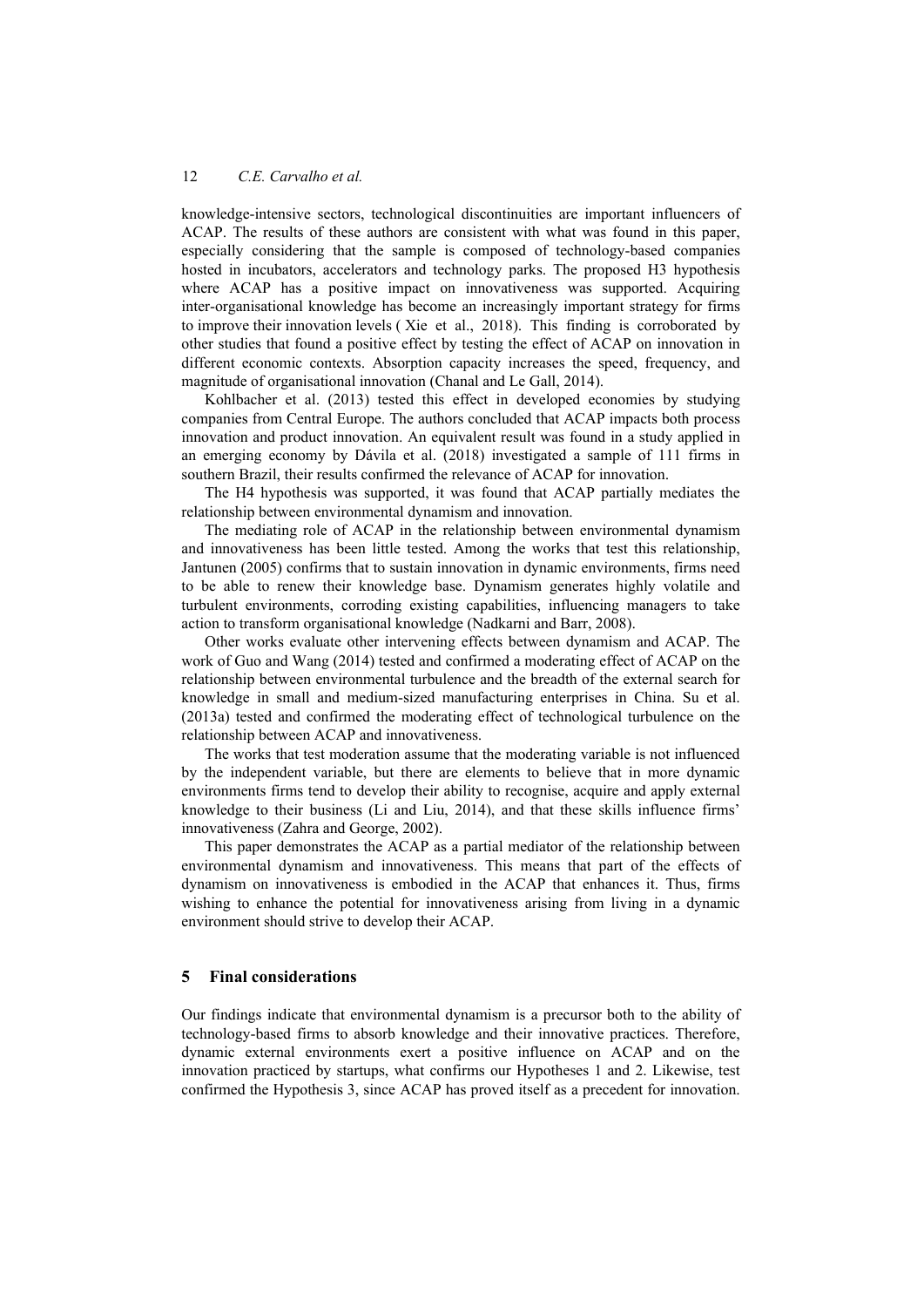knowledge-intensive sectors, technological discontinuities are important influencers of ACAP. The results of these authors are consistent with what was found in this paper, especially considering that the sample is composed of technology-based companies hosted in incubators, accelerators and technology parks. The proposed H3 hypothesis where ACAP has a positive impact on innovativeness was supported. Acquiring inter-organisational knowledge has become an increasingly important strategy for firms to improve their innovation levels ( Xie et al., 2018). This finding is corroborated by other studies that found a positive effect by testing the effect of ACAP on innovation in different economic contexts. Absorption capacity increases the speed, frequency, and magnitude of organisational innovation (Chanal and Le Gall, 2014).

Kohlbacher et al. (2013) tested this effect in developed economies by studying companies from Central Europe. The authors concluded that ACAP impacts both process innovation and product innovation. An equivalent result was found in a study applied in an emerging economy by Dávila et al. (2018) investigated a sample of 111 firms in southern Brazil, their results confirmed the relevance of ACAP for innovation.

The H4 hypothesis was supported, it was found that ACAP partially mediates the relationship between environmental dynamism and innovation.

The mediating role of ACAP in the relationship between environmental dynamism and innovativeness has been little tested. Among the works that test this relationship, Jantunen (2005) confirms that to sustain innovation in dynamic environments, firms need to be able to renew their knowledge base. Dynamism generates highly volatile and turbulent environments, corroding existing capabilities, influencing managers to take action to transform organisational knowledge (Nadkarni and Barr, 2008).

Other works evaluate other intervening effects between dynamism and ACAP. The work of Guo and Wang (2014) tested and confirmed a moderating effect of ACAP on the relationship between environmental turbulence and the breadth of the external search for knowledge in small and medium-sized manufacturing enterprises in China. Su et al. (2013a) tested and confirmed the moderating effect of technological turbulence on the relationship between ACAP and innovativeness.

The works that test moderation assume that the moderating variable is not influenced by the independent variable, but there are elements to believe that in more dynamic environments firms tend to develop their ability to recognise, acquire and apply external knowledge to their business (Li and Liu, 2014), and that these skills influence firms' innovativeness (Zahra and George, 2002).

This paper demonstrates the ACAP as a partial mediator of the relationship between environmental dynamism and innovativeness. This means that part of the effects of dynamism on innovativeness is embodied in the ACAP that enhances it. Thus, firms wishing to enhance the potential for innovativeness arising from living in a dynamic environment should strive to develop their ACAP.

## **5 Final considerations**

Our findings indicate that environmental dynamism is a precursor both to the ability of technology-based firms to absorb knowledge and their innovative practices. Therefore, dynamic external environments exert a positive influence on ACAP and on the innovation practiced by startups, what confirms our Hypotheses 1 and 2. Likewise, test confirmed the Hypothesis 3, since ACAP has proved itself as a precedent for innovation.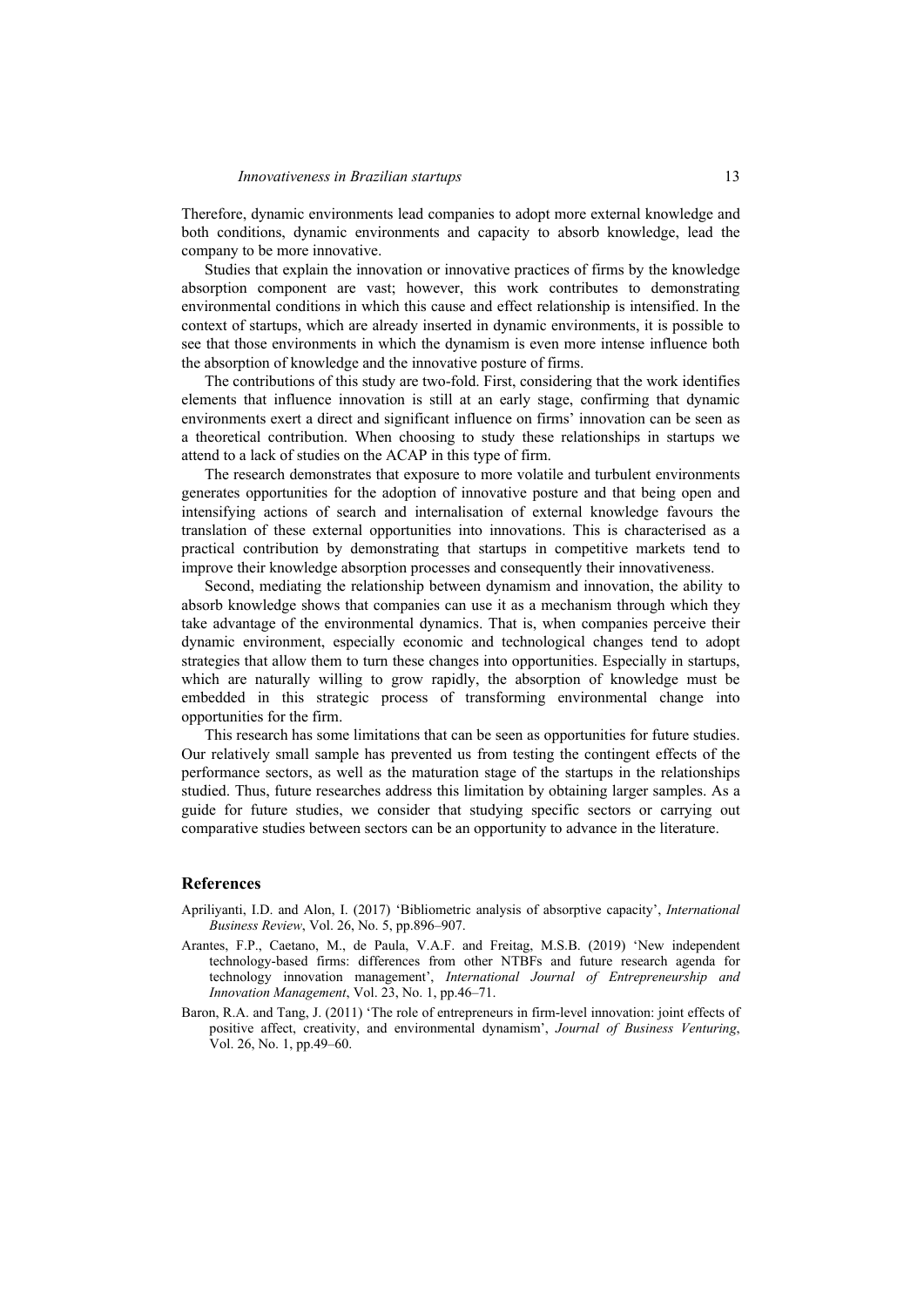Therefore, dynamic environments lead companies to adopt more external knowledge and both conditions, dynamic environments and capacity to absorb knowledge, lead the company to be more innovative.

Studies that explain the innovation or innovative practices of firms by the knowledge absorption component are vast; however, this work contributes to demonstrating environmental conditions in which this cause and effect relationship is intensified. In the context of startups, which are already inserted in dynamic environments, it is possible to see that those environments in which the dynamism is even more intense influence both the absorption of knowledge and the innovative posture of firms.

The contributions of this study are two-fold. First, considering that the work identifies elements that influence innovation is still at an early stage, confirming that dynamic environments exert a direct and significant influence on firms' innovation can be seen as a theoretical contribution. When choosing to study these relationships in startups we attend to a lack of studies on the ACAP in this type of firm.

The research demonstrates that exposure to more volatile and turbulent environments generates opportunities for the adoption of innovative posture and that being open and intensifying actions of search and internalisation of external knowledge favours the translation of these external opportunities into innovations. This is characterised as a practical contribution by demonstrating that startups in competitive markets tend to improve their knowledge absorption processes and consequently their innovativeness.

Second, mediating the relationship between dynamism and innovation, the ability to absorb knowledge shows that companies can use it as a mechanism through which they take advantage of the environmental dynamics. That is, when companies perceive their dynamic environment, especially economic and technological changes tend to adopt strategies that allow them to turn these changes into opportunities. Especially in startups, which are naturally willing to grow rapidly, the absorption of knowledge must be embedded in this strategic process of transforming environmental change into opportunities for the firm.

This research has some limitations that can be seen as opportunities for future studies. Our relatively small sample has prevented us from testing the contingent effects of the performance sectors, as well as the maturation stage of the startups in the relationships studied. Thus, future researches address this limitation by obtaining larger samples. As a guide for future studies, we consider that studying specific sectors or carrying out comparative studies between sectors can be an opportunity to advance in the literature.

#### **References**

- Apriliyanti, I.D. and Alon, I. (2017) 'Bibliometric analysis of absorptive capacity', *International Business Review*, Vol. 26, No. 5, pp.896–907.
- Arantes, F.P., Caetano, M., de Paula, V.A.F. and Freitag, M.S.B. (2019) 'New independent technology-based firms: differences from other NTBFs and future research agenda for technology innovation management', *International Journal of Entrepreneurship and Innovation Management*, Vol. 23, No. 1, pp.46–71.
- Baron, R.A. and Tang, J. (2011) 'The role of entrepreneurs in firm-level innovation: joint effects of positive affect, creativity, and environmental dynamism', *Journal of Business Venturing*, Vol. 26, No. 1, pp.49–60.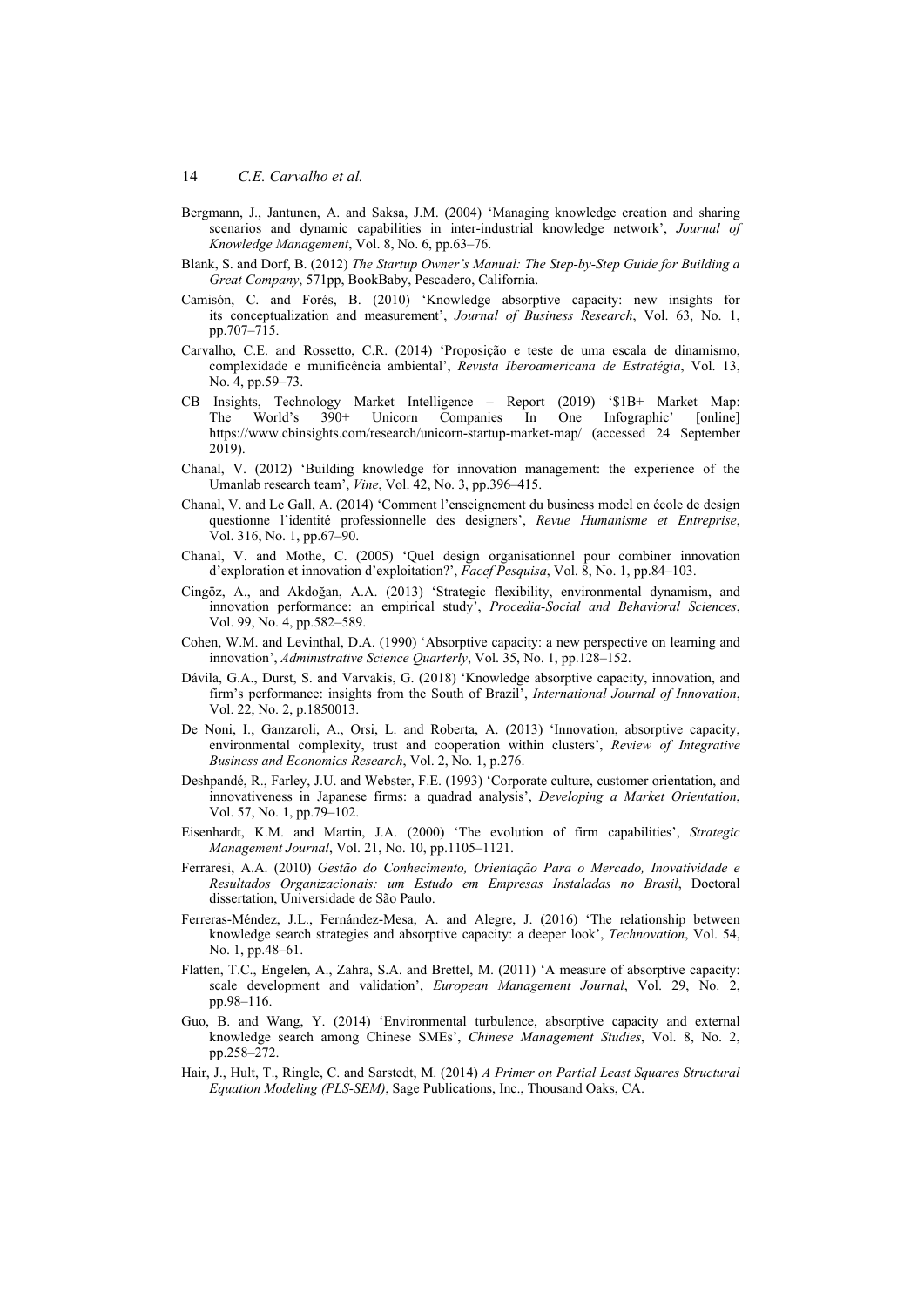- Bergmann, J., Jantunen, A. and Saksa, J.M. (2004) 'Managing knowledge creation and sharing scenarios and dynamic capabilities in inter-industrial knowledge network', *Journal of Knowledge Management*, Vol. 8, No. 6, pp.63–76.
- Blank, S. and Dorf, B. (2012) *The Startup Owner's Manual: The Step-by-Step Guide for Building a Great Company*, 571pp, BookBaby, Pescadero, California.
- Camisón, C. and Forés, B. (2010) 'Knowledge absorptive capacity: new insights for its conceptualization and measurement', *Journal of Business Research*, Vol. 63, No. 1, pp.707–715.
- Carvalho, C.E. and Rossetto, C.R. (2014) 'Proposição e teste de uma escala de dinamismo, complexidade e munificência ambiental', *Revista Iberoamericana de Estratégia*, Vol. 13, No. 4, pp.59–73.
- CB Insights, Technology Market Intelligence Report (2019) '\$1B+ Market Map: The World's 390+ Unicorn Companies In One Infographic' [online] https://www.cbinsights.com/research/unicorn-startup-market-map/ (accessed 24 September 2019).
- Chanal, V. (2012) 'Building knowledge for innovation management: the experience of the Umanlab research team', *Vine*, Vol. 42, No. 3, pp.396–415.
- Chanal, V. and Le Gall, A. (2014) 'Comment l'enseignement du business model en école de design questionne l'identité professionnelle des designers', *Revue Humanisme et Entreprise*, Vol. 316, No. 1, pp.67–90.
- Chanal, V. and Mothe, C. (2005) 'Quel design organisationnel pour combiner innovation d'exploration et innovation d'exploitation?', *Facef Pesquisa*, Vol. 8, No. 1, pp.84–103.
- Cingöz, A., and Akdoğan, A.A. (2013) 'Strategic flexibility, environmental dynamism, and innovation performance: an empirical study', *Procedia-Social and Behavioral Sciences*, Vol. 99, No. 4, pp.582–589.
- Cohen, W.M. and Levinthal, D.A. (1990) 'Absorptive capacity: a new perspective on learning and innovation', *Administrative Science Quarterly*, Vol. 35, No. 1, pp.128–152.
- Dávila, G.A., Durst, S. and Varvakis, G. (2018) 'Knowledge absorptive capacity, innovation, and firm's performance: insights from the South of Brazil', *International Journal of Innovation*, Vol. 22, No. 2, p.1850013.
- De Noni, I., Ganzaroli, A., Orsi, L. and Roberta, A. (2013) 'Innovation, absorptive capacity, environmental complexity, trust and cooperation within clusters', *Review of Integrative Business and Economics Research*, Vol. 2, No. 1, p.276.
- Deshpandé, R., Farley, J.U. and Webster, F.E. (1993) 'Corporate culture, customer orientation, and innovativeness in Japanese firms: a quadrad analysis', *Developing a Market Orientation*, Vol. 57, No. 1, pp.79–102.
- Eisenhardt, K.M. and Martin, J.A. (2000) 'The evolution of firm capabilities', *Strategic Management Journal*, Vol. 21, No. 10, pp.1105–1121.
- Ferraresi, A.A. (2010) *Gestão do Conhecimento, Orientação Para o Mercado, Inovatividade e Resultados Organizacionais: um Estudo em Empresas Instaladas no Brasil*, Doctoral dissertation, Universidade de São Paulo.
- Ferreras-Méndez, J.L., Fernández-Mesa, A. and Alegre, J. (2016) 'The relationship between knowledge search strategies and absorptive capacity: a deeper look', *Technovation*, Vol. 54, No. 1, pp.48–61.
- Flatten, T.C., Engelen, A., Zahra, S.A. and Brettel, M. (2011) 'A measure of absorptive capacity: scale development and validation', *European Management Journal*, Vol. 29, No. 2, pp.98–116.
- Guo, B. and Wang, Y. (2014) 'Environmental turbulence, absorptive capacity and external knowledge search among Chinese SMEs', *Chinese Management Studies*, Vol. 8, No. 2, pp.258–272.
- Hair, J., Hult, T., Ringle, C. and Sarstedt, M. (2014) *A Primer on Partial Least Squares Structural Equation Modeling (PLS-SEM)*, Sage Publications, Inc., Thousand Oaks, CA.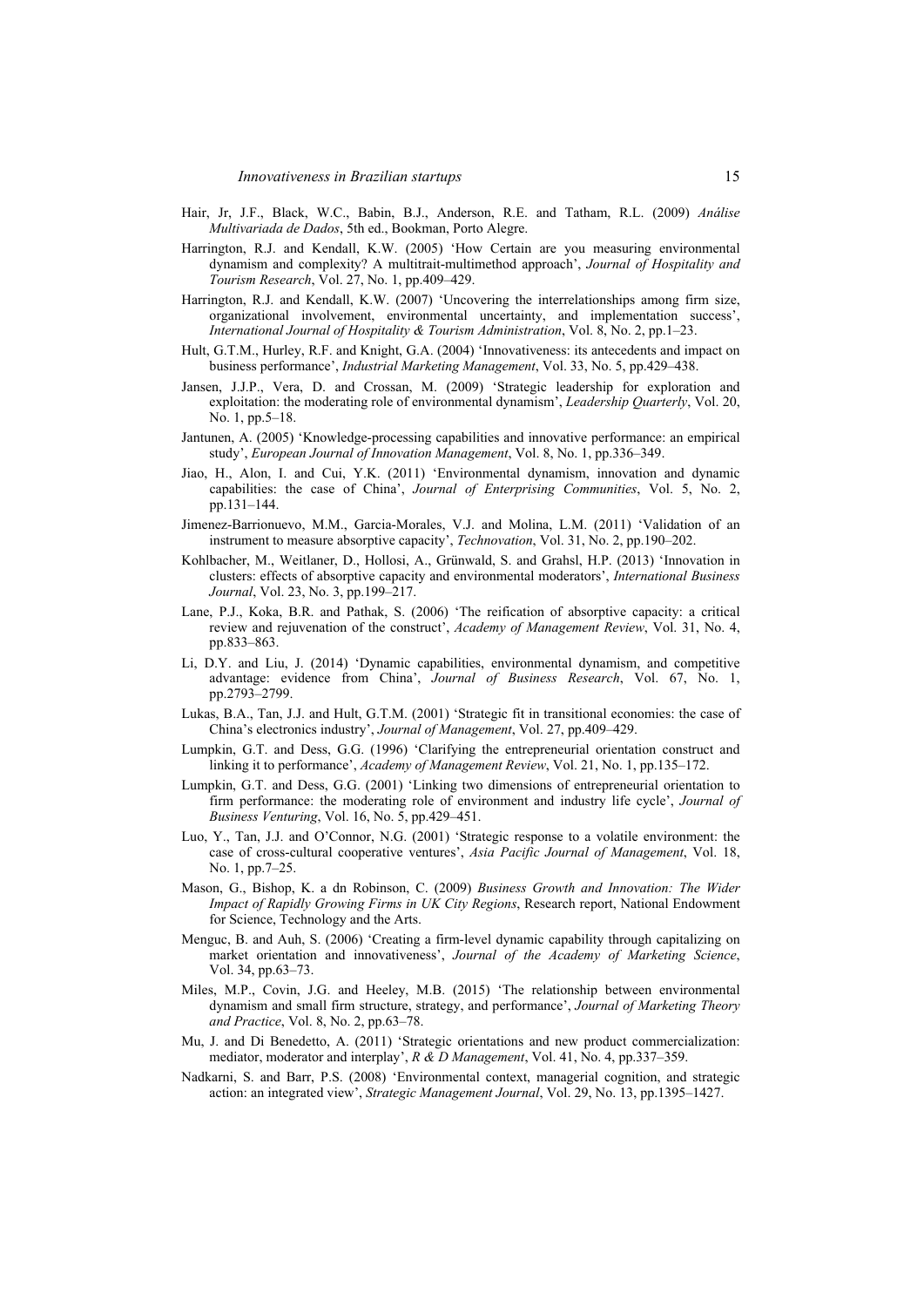- Hair, Jr, J.F., Black, W.C., Babin, B.J., Anderson, R.E. and Tatham, R.L. (2009) *Análise Multivariada de Dados*, 5th ed., Bookman, Porto Alegre.
- Harrington, R.J. and Kendall, K.W. (2005) 'How Certain are you measuring environmental dynamism and complexity? A multitrait-multimethod approach', *Journal of Hospitality and Tourism Research*, Vol. 27, No. 1, pp.409–429.
- Harrington, R.J. and Kendall, K.W. (2007) 'Uncovering the interrelationships among firm size, organizational involvement, environmental uncertainty, and implementation success', *International Journal of Hospitality & Tourism Administration*, Vol. 8, No. 2, pp.1–23.
- Hult, G.T.M., Hurley, R.F. and Knight, G.A. (2004) 'Innovativeness: its antecedents and impact on business performance', *Industrial Marketing Management*, Vol. 33, No. 5, pp.429–438.
- Jansen, J.J.P., Vera, D. and Crossan, M. (2009) 'Strategic leadership for exploration and exploitation: the moderating role of environmental dynamism', *Leadership Quarterly*, Vol. 20, No. 1, pp.5–18.
- Jantunen, A. (2005) 'Knowledge-processing capabilities and innovative performance: an empirical study', *European Journal of Innovation Management*, Vol. 8, No. 1, pp.336–349.
- Jiao, H., Alon, I. and Cui, Y.K. (2011) 'Environmental dynamism, innovation and dynamic capabilities: the case of China', *Journal of Enterprising Communities*, Vol. 5, No. 2, pp.131–144.
- Jimenez-Barrionuevo, M.M., Garcia-Morales, V.J. and Molina, L.M. (2011) 'Validation of an instrument to measure absorptive capacity', *Technovation*, Vol. 31, No. 2, pp.190–202.
- Kohlbacher, M., Weitlaner, D., Hollosi, A., Grünwald, S. and Grahsl, H.P. (2013) 'Innovation in clusters: effects of absorptive capacity and environmental moderators', *International Business Journal*, Vol. 23, No. 3, pp.199–217.
- Lane, P.J., Koka, B.R. and Pathak, S. (2006) 'The reification of absorptive capacity: a critical review and rejuvenation of the construct', *Academy of Management Review*, Vol. 31, No. 4, pp.833–863.
- Li, D.Y. and Liu, J. (2014) 'Dynamic capabilities, environmental dynamism, and competitive advantage: evidence from China', *Journal of Business Research*, Vol. 67, No. 1, pp.2793–2799.
- Lukas, B.A., Tan, J.J. and Hult, G.T.M. (2001) 'Strategic fit in transitional economies: the case of China's electronics industry', *Journal of Management*, Vol. 27, pp.409–429.
- Lumpkin, G.T. and Dess, G.G. (1996) 'Clarifying the entrepreneurial orientation construct and linking it to performance', *Academy of Management Review*, Vol. 21, No. 1, pp.135–172.
- Lumpkin, G.T. and Dess, G.G. (2001) 'Linking two dimensions of entrepreneurial orientation to firm performance: the moderating role of environment and industry life cycle', *Journal of Business Venturing*, Vol. 16, No. 5, pp.429–451.
- Luo, Y., Tan, J.J. and O'Connor, N.G. (2001) 'Strategic response to a volatile environment: the case of cross-cultural cooperative ventures', *Asia Pacific Journal of Management*, Vol. 18, No. 1, pp.7–25.
- Mason, G., Bishop, K. a dn Robinson, C. (2009) *Business Growth and Innovation: The Wider Impact of Rapidly Growing Firms in UK City Regions*, Research report, National Endowment for Science, Technology and the Arts.
- Menguc, B. and Auh, S. (2006) 'Creating a firm-level dynamic capability through capitalizing on market orientation and innovativeness', *Journal of the Academy of Marketing Science*, Vol. 34, pp.63–73.
- Miles, M.P., Covin, J.G. and Heeley, M.B. (2015) 'The relationship between environmental dynamism and small firm structure, strategy, and performance', *Journal of Marketing Theory and Practice*, Vol. 8, No. 2, pp.63–78.
- Mu, J. and Di Benedetto, A. (2011) 'Strategic orientations and new product commercialization: mediator, moderator and interplay', *R & D Management*, Vol. 41, No. 4, pp.337–359.
- Nadkarni, S. and Barr, P.S. (2008) 'Environmental context, managerial cognition, and strategic action: an integrated view', *Strategic Management Journal*, Vol. 29, No. 13, pp.1395–1427.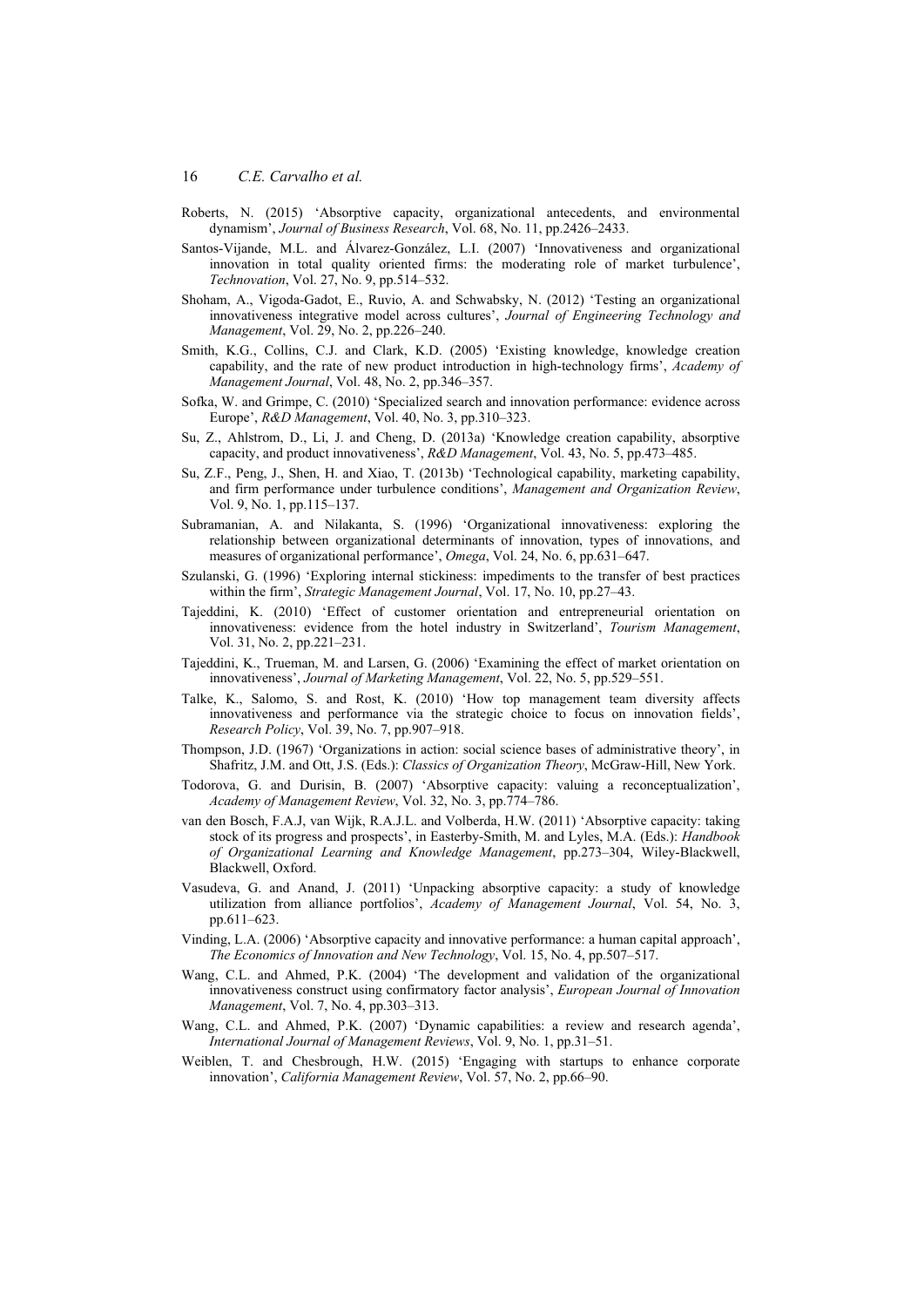- Roberts, N. (2015) 'Absorptive capacity, organizational antecedents, and environmental dynamism', *Journal of Business Research*, Vol. 68, No. 11, pp.2426–2433.
- Santos-Vijande, M.L. and Álvarez-González, L.I. (2007) 'Innovativeness and organizational innovation in total quality oriented firms: the moderating role of market turbulence', *Technovation*, Vol. 27, No. 9, pp.514–532.
- Shoham, A., Vigoda-Gadot, E., Ruvio, A. and Schwabsky, N. (2012) 'Testing an organizational innovativeness integrative model across cultures', *Journal of Engineering Technology and Management*, Vol. 29, No. 2, pp.226–240.
- Smith, K.G., Collins, C.J. and Clark, K.D. (2005) 'Existing knowledge, knowledge creation capability, and the rate of new product introduction in high-technology firms', *Academy of Management Journal*, Vol. 48, No. 2, pp.346–357.
- Sofka, W. and Grimpe, C. (2010) 'Specialized search and innovation performance: evidence across Europe', *R&D Management*, Vol. 40, No. 3, pp.310–323.
- Su, Z., Ahlstrom, D., Li, J. and Cheng, D. (2013a) 'Knowledge creation capability, absorptive capacity, and product innovativeness', *R&D Management*, Vol. 43, No. 5, pp.473–485.
- Su, Z.F., Peng, J., Shen, H. and Xiao, T. (2013b) 'Technological capability, marketing capability, and firm performance under turbulence conditions', *Management and Organization Review*, Vol. 9, No. 1, pp.115–137.
- Subramanian, A. and Nilakanta, S. (1996) 'Organizational innovativeness: exploring the relationship between organizational determinants of innovation, types of innovations, and measures of organizational performance', *Omega*, Vol. 24, No. 6, pp.631–647.
- Szulanski, G. (1996) 'Exploring internal stickiness: impediments to the transfer of best practices within the firm', *Strategic Management Journal*, Vol. 17, No. 10, pp.27–43.
- Tajeddini, K. (2010) 'Effect of customer orientation and entrepreneurial orientation on innovativeness: evidence from the hotel industry in Switzerland', *Tourism Management*, Vol. 31, No. 2, pp.221–231.
- Tajeddini, K., Trueman, M. and Larsen, G. (2006) 'Examining the effect of market orientation on innovativeness', *Journal of Marketing Management*, Vol. 22, No. 5, pp.529–551.
- Talke, K., Salomo, S. and Rost, K. (2010) 'How top management team diversity affects innovativeness and performance via the strategic choice to focus on innovation fields', *Research Policy*, Vol. 39, No. 7, pp.907–918.
- Thompson, J.D. (1967) 'Organizations in action: social science bases of administrative theory', in Shafritz, J.M. and Ott, J.S. (Eds.): *Classics of Organization Theory*, McGraw-Hill, New York.
- Todorova, G. and Durisin, B. (2007) 'Absorptive capacity: valuing a reconceptualization', *Academy of Management Review*, Vol. 32, No. 3, pp.774–786.
- van den Bosch, F.A.J, van Wijk, R.A.J.L. and Volberda, H.W. (2011) 'Absorptive capacity: taking stock of its progress and prospects', in Easterby-Smith, M. and Lyles, M.A. (Eds.): *Handbook of Organizational Learning and Knowledge Management*, pp.273–304, Wiley-Blackwell, Blackwell, Oxford.
- Vasudeva, G. and Anand, J. (2011) 'Unpacking absorptive capacity: a study of knowledge utilization from alliance portfolios', *Academy of Management Journal*, Vol. 54, No. 3, pp.611–623.
- Vinding, L.A. (2006) 'Absorptive capacity and innovative performance: a human capital approach', *The Economics of Innovation and New Technology*, Vol. 15, No. 4, pp.507–517.
- Wang, C.L. and Ahmed, P.K. (2004) 'The development and validation of the organizational innovativeness construct using confirmatory factor analysis', *European Journal of Innovation Management*, Vol. 7, No. 4, pp.303–313.
- Wang, C.L. and Ahmed, P.K. (2007) 'Dynamic capabilities: a review and research agenda', *International Journal of Management Reviews*, Vol. 9, No. 1, pp.31–51.
- Weiblen, T. and Chesbrough, H.W. (2015) 'Engaging with startups to enhance corporate innovation', *California Management Review*, Vol. 57, No. 2, pp.66–90.